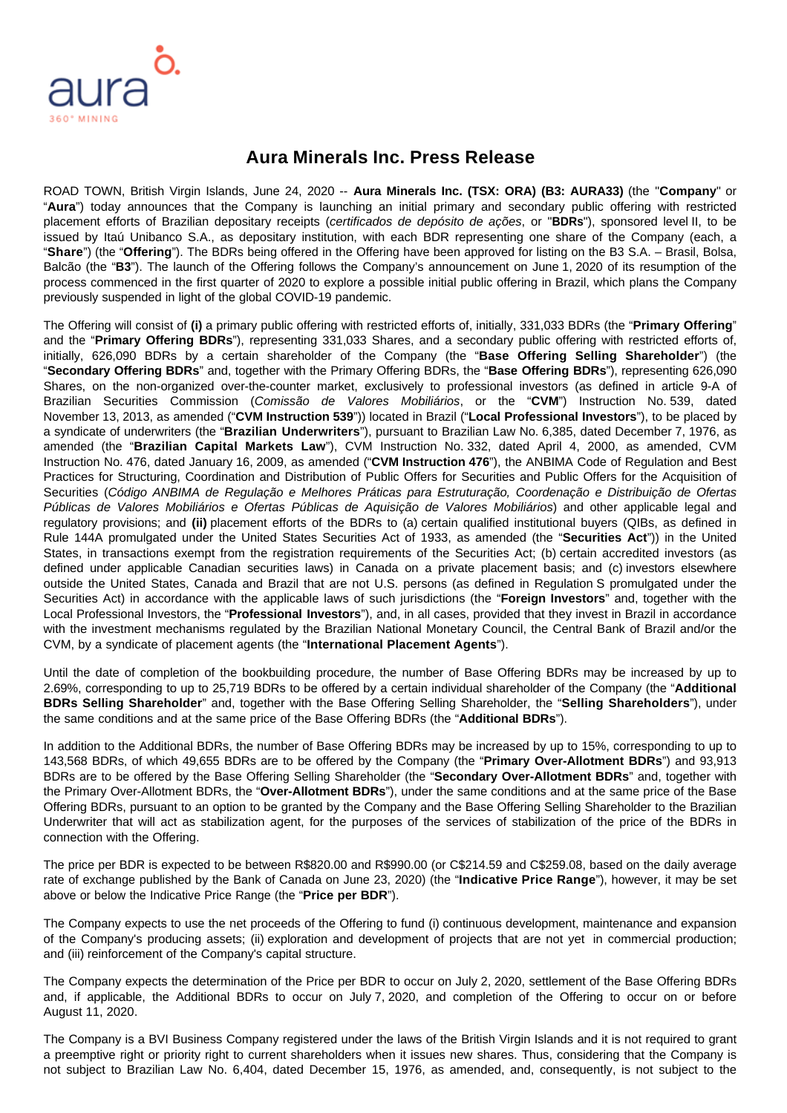## **Aura Minerals Inc. Press Release**

ROAD TOWN, British Virgin Islands, June 24, 2020 -- **Aura Minerals Inc. (TSX: ORA) (B3: AURA33)** (the "**Company**" or "**Aura**") today announces that the Company is launching an initial primary and secondary public offering with restricted placement efforts of Brazilian depositary receipts (certificados de depósito de ações, or "**BDRs**"), sponsored level II, to be issued by Itaú Unibanco S.A., as depositary institution, with each BDR representing one share of the Company (each, a "**Share**") (the "**Offering**"). The BDRs being offered in the Offering have been approved for listing on the B3 S.A. – Brasil, Bolsa, Balcão (the "**B3**"). The launch of the Offering follows the Company's announcement on June 1, 2020 of its resumption of the process commenced in the first quarter of 2020 to explore a possible initial public offering in Brazil, which plans the Company previously suspended in light of the global COVID-19 pandemic.

The Offering will consist of **(i)** a primary public offering with restricted efforts of, initially, 331,033 BDRs (the "**Primary Offering**" and the "**Primary Offering BDRs**"), representing 331,033 Shares, and a secondary public offering with restricted efforts of, initially, 626,090 BDRs by a certain shareholder of the Company (the "**Base Offering Selling Shareholder**") (the "**Secondary Offering BDRs**" and, together with the Primary Offering BDRs, the "**Base Offering BDRs**"), representing 626,090 Shares, on the non-organized over-the-counter market, exclusively to professional investors (as defined in article 9-A of Brazilian Securities Commission (Comissão de Valores Mobiliários, or the "**CVM**") Instruction No. 539, dated November 13, 2013, as amended ("**CVM Instruction 539**")) located in Brazil ("**Local Professional Investors**"), to be placed by a syndicate of underwriters (the "**Brazilian Underwriters**"), pursuant to Brazilian Law No. 6,385, dated December 7, 1976, as amended (the "**Brazilian Capital Markets Law**"), CVM Instruction No. 332, dated April 4, 2000, as amended, CVM Instruction No. 476, dated January 16, 2009, as amended ("**CVM Instruction 476**"), the ANBIMA Code of Regulation and Best Practices for Structuring, Coordination and Distribution of Public Offers for Securities and Public Offers for the Acquisition of Securities (Código ANBIMA de Regulação e Melhores Práticas para Estruturação, Coordenação e Distribuição de Ofertas Públicas de Valores Mobiliários e Ofertas Públicas de Aquisição de Valores Mobiliários) and other applicable legal and regulatory provisions; and **(ii)** placement efforts of the BDRs to (a) certain qualified institutional buyers (QIBs, as defined in Rule 144A promulgated under the United States Securities Act of 1933, as amended (the "**Securities Act**")) in the United States, in transactions exempt from the registration requirements of the Securities Act; (b) certain accredited investors (as defined under applicable Canadian securities laws) in Canada on a private placement basis; and (c) investors elsewhere outside the United States, Canada and Brazil that are not U.S. persons (as defined in Regulation S promulgated under the Securities Act) in accordance with the applicable laws of such jurisdictions (the "**Foreign Investors**" and, together with the Local Professional Investors, the "**Professional Investors**"), and, in all cases, provided that they invest in Brazil in accordance with the investment mechanisms regulated by the Brazilian National Monetary Council, the Central Bank of Brazil and/or the CVM, by a syndicate of placement agents (the "**International Placement Agents**").

Until the date of completion of the bookbuilding procedure, the number of Base Offering BDRs may be increased by up to 2.69%, corresponding to up to 25,719 BDRs to be offered by a certain individual shareholder of the Company (the "**Additional BDRs Selling Shareholder**" and, together with the Base Offering Selling Shareholder, the "**Selling Shareholders**"), under the same conditions and at the same price of the Base Offering BDRs (the "**Additional BDRs**").

In addition to the Additional BDRs, the number of Base Offering BDRs may be increased by up to 15%, corresponding to up to 143,568 BDRs, of which 49,655 BDRs are to be offered by the Company (the "**Primary Over-Allotment BDRs**") and 93,913 BDRs are to be offered by the Base Offering Selling Shareholder (the "**Secondary Over-Allotment BDRs**" and, together with the Primary Over-Allotment BDRs, the "**Over-Allotment BDRs**"), under the same conditions and at the same price of the Base Offering BDRs, pursuant to an option to be granted by the Company and the Base Offering Selling Shareholder to the Brazilian Underwriter that will act as stabilization agent, for the purposes of the services of stabilization of the price of the BDRs in connection with the Offering.

The price per BDR is expected to be between R\$820.00 and R\$990.00 (or C\$214.59 and C\$259.08, based on the daily average rate of exchange published by the Bank of Canada on June 23, 2020) (the "**Indicative Price Range**"), however, it may be set above or below the Indicative Price Range (the "**Price per BDR**").

The Company expects to use the net proceeds of the Offering to fund (i) continuous development, maintenance and expansion of the Company's producing assets; (ii) exploration and development of projects that are not yet in commercial production; and (iii) reinforcement of the Company's capital structure.

The Company expects the determination of the Price per BDR to occur on July 2, 2020, settlement of the Base Offering BDRs and, if applicable, the Additional BDRs to occur on July 7, 2020, and completion of the Offering to occur on or before August 11, 2020.

The Company is a BVI Business Company registered under the laws of the British Virgin Islands and it is not required to grant a preemptive right or priority right to current shareholders when it issues new shares. Thus, considering that the Company is not subject to Brazilian Law No. 6,404, dated December 15, 1976, as amended, and, consequently, is not subject to the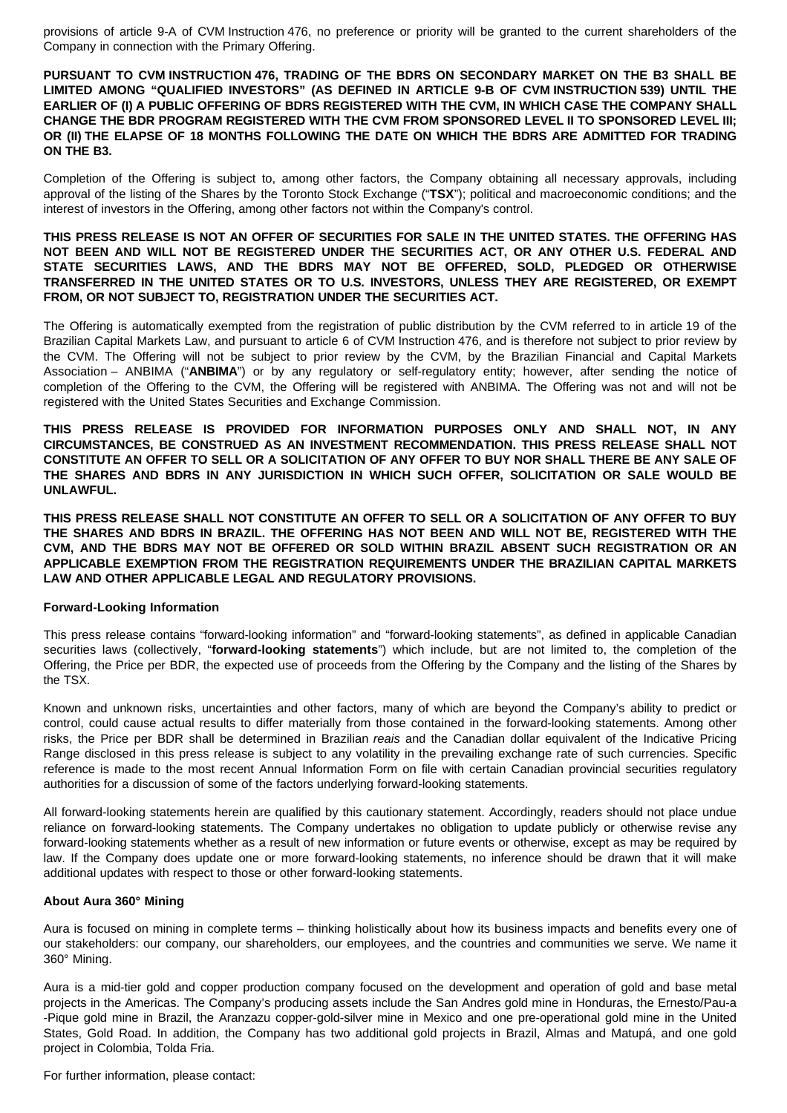provisions of article 9-A of CVM Instruction 476, no preference or priority will be granted to the current shareholders of the Company in connection with the Primary Offering.

**PURSUANT TO CVM INSTRUCTION 476, TRADING OF THE BDRS ON SECONDARY MARKET ON THE B3 SHALL BE LIMITED AMONG "QUALIFIED INVESTORS" (AS DEFINED IN ARTICLE 9-B OF CVM INSTRUCTION 539) UNTIL THE EARLIER OF (I) A PUBLIC OFFERING OF BDRS REGISTERED WITH THE CVM, IN WHICH CASE THE COMPANY SHALL CHANGE THE BDR PROGRAM REGISTERED WITH THE CVM FROM SPONSORED LEVEL II TO SPONSORED LEVEL III; OR (II) THE ELAPSE OF 18 MONTHS FOLLOWING THE DATE ON WHICH THE BDRS ARE ADMITTED FOR TRADING ON THE B3.**

Completion of the Offering is subject to, among other factors, the Company obtaining all necessary approvals, including approval of the listing of the Shares by the Toronto Stock Exchange ("**TSX**"); political and macroeconomic conditions; and the interest of investors in the Offering, among other factors not within the Company's control.

## **THIS PRESS RELEASE IS NOT AN OFFER OF SECURITIES FOR SALE IN THE UNITED STATES. THE OFFERING HAS NOT BEEN AND WILL NOT BE REGISTERED UNDER THE SECURITIES ACT, OR ANY OTHER U.S. FEDERAL AND STATE SECURITIES LAWS, AND THE BDRS MAY NOT BE OFFERED, SOLD, PLEDGED OR OTHERWISE TRANSFERRED IN THE UNITED STATES OR TO U.S. INVESTORS, UNLESS THEY ARE REGISTERED, OR EXEMPT FROM, OR NOT SUBJECT TO, REGISTRATION UNDER THE SECURITIES ACT.**

The Offering is automatically exempted from the registration of public distribution by the CVM referred to in article 19 of the Brazilian Capital Markets Law, and pursuant to article 6 of CVM Instruction 476, and is therefore not subject to prior review by the CVM. The Offering will not be subject to prior review by the CVM, by the Brazilian Financial and Capital Markets Association – ANBIMA ("**ANBIMA**") or by any regulatory or self-regulatory entity; however, after sending the notice of completion of the Offering to the CVM, the Offering will be registered with ANBIMA. The Offering was not and will not be registered with the United States Securities and Exchange Commission.

**THIS PRESS RELEASE IS PROVIDED FOR INFORMATION PURPOSES ONLY AND SHALL NOT, IN ANY CIRCUMSTANCES, BE CONSTRUED AS AN INVESTMENT RECOMMENDATION. THIS PRESS RELEASE SHALL NOT CONSTITUTE AN OFFER TO SELL OR A SOLICITATION OF ANY OFFER TO BUY NOR SHALL THERE BE ANY SALE OF THE SHARES AND BDRS IN ANY JURISDICTION IN WHICH SUCH OFFER, SOLICITATION OR SALE WOULD BE UNLAWFUL.**

**THIS PRESS RELEASE SHALL NOT CONSTITUTE AN OFFER TO SELL OR A SOLICITATION OF ANY OFFER TO BUY THE SHARES AND BDRS IN BRAZIL. THE OFFERING HAS NOT BEEN AND WILL NOT BE, REGISTERED WITH THE CVM, AND THE BDRS MAY NOT BE OFFERED OR SOLD WITHIN BRAZIL ABSENT SUCH REGISTRATION OR AN APPLICABLE EXEMPTION FROM THE REGISTRATION REQUIREMENTS UNDER THE BRAZILIAN CAPITAL MARKETS LAW AND OTHER APPLICABLE LEGAL AND REGULATORY PROVISIONS.**

## **Forward-Looking Information**

This press release contains "forward-looking information" and "forward-looking statements", as defined in applicable Canadian securities laws (collectively, "**forward-looking statements**") which include, but are not limited to, the completion of the Offering, the Price per BDR, the expected use of proceeds from the Offering by the Company and the listing of the Shares by the TSX.

Known and unknown risks, uncertainties and other factors, many of which are beyond the Company's ability to predict or control, could cause actual results to differ materially from those contained in the forward-looking statements. Among other risks, the Price per BDR shall be determined in Brazilian reais and the Canadian dollar equivalent of the Indicative Pricing Range disclosed in this press release is subject to any volatility in the prevailing exchange rate of such currencies. Specific reference is made to the most recent Annual Information Form on file with certain Canadian provincial securities regulatory authorities for a discussion of some of the factors underlying forward-looking statements.

All forward-looking statements herein are qualified by this cautionary statement. Accordingly, readers should not place undue reliance on forward-looking statements. The Company undertakes no obligation to update publicly or otherwise revise any forward-looking statements whether as a result of new information or future events or otherwise, except as may be required by law. If the Company does update one or more forward-looking statements, no inference should be drawn that it will make additional updates with respect to those or other forward-looking statements.

## **About Aura 360° Mining**

Aura is focused on mining in complete terms – thinking holistically about how its business impacts and benefits every one of our stakeholders: our company, our shareholders, our employees, and the countries and communities we serve. We name it 360° Mining.

Aura is a mid-tier gold and copper production company focused on the development and operation of gold and base metal projects in the Americas. The Company's producing assets include the San Andres gold mine in Honduras, the Ernesto/Pau-a -Pique gold mine in Brazil, the Aranzazu copper-gold-silver mine in Mexico and one pre-operational gold mine in the United States, Gold Road. In addition, the Company has two additional gold projects in Brazil, Almas and Matupá, and one gold project in Colombia, Tolda Fria.

For further information, please contact: